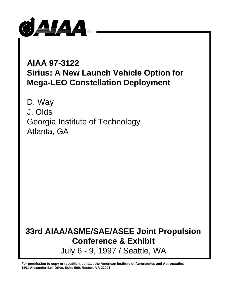

# **AIAA 97-3122 Sirius: A New Launch Vehicle Option for Mega-LEO Constellation Deployment**

D. Way J. Olds Georgia Institute of Technology Atlanta, GA

# **33rd AIAA/ASME/SAE/ASEE Joint Propulsion Conference & Exhibit** July 6 - 9, 1997 / Seattle, WA

**For permission to copy or republish, contact the American Institute of Aeronautics and Astronautics 1801 Alexander Bell Drive, Suite 500, Reston, VA 22091**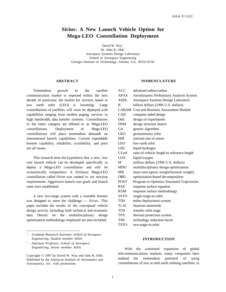# **Sirius: A New Launch Vehicle Option for Mega-LEO Constellation Deployment**

David W. Way†

Dr. John R. Olds<sup>\*</sup> Aerospace Systems Design Laboratory School of Aerospace Engineering Georgia Institute of Technology, Atlanta, GA, 30332-0150

# **ABSTRACT**

Tremendous growth in the satellite communication market is expected within the next decade. In particular, the market for services based in low earth orbit (LEO) is booming. Large constellations of satellites will soon be deployed with capabilities ranging from modest paging services to high bandwidth, data transfer systems. Constellations in the latter category are referred to as Mega-LEO constellations. Deployment of Mega-LEO constellations will place tremendous demands on international launch capabilities. Current expendable booster capability, reliability, availability, and price are all issues.

This research tests the hypothesis that a new, low cost launch vehicle can be developed specifically to deploy a Mega-LEO constellation and still be economically competitive. A fictitious Mega-LEO constellation called *Orion* was created to set mission requirements. Aggressive launch cost goals and launch rates were established.

A new two-stage system with a reusable booster was designed to meet the challenge — *Sirius*. This paper includes the results of the conceptual vehicle design activity including both technical and economic data. Details on the multidisciplinary design optimization methodology employed are also included.

 $\overline{a}$ 

Copyright © 1997 by David W. Way and John R. Olds. Published by the American Institute of Aeronautics and Astronautics, Inc. with permission.

#### **NOMENCLATURE**

| <b>ACC</b>  | advanced carbon-carbon                           |
|-------------|--------------------------------------------------|
| <b>APAS</b> | Aerodynamic Preliminary Analysis System          |
| <b>ASDL</b> | Aerospace Systems Design Laboratory              |
| B           | billion dollars (1996 U.S. dollars)              |
|             | <b>CABAM</b> Cost and Business Assessment Module |
| CAD         | computer aided design                            |
| DoE         | design of experiments                            |
| <b>DSM</b>  | design structure matrix                          |
| <b>GA</b>   | genetic algorithm                                |
| <b>GEO</b>  | geostationary orbit                              |
| <b>IRR</b>  | internal rate of return                          |
| <b>LEO</b>  | low earth orbit                                  |
| LH2         | liquid hydrogen                                  |
| $L$ Tref    | ratio of vehicle length to reference length      |
| LOX         | liquid oxygen                                    |
| M           | million dollars (1996 U.S. dollars)              |
| <b>MDO</b>  | multidisciplinary design optimization            |
| <b>MR</b>   | mass ratio (gross weight/burnout weight)         |
| <b>OBD</b>  | optimization-based decomposition                 |
| <b>POST</b> | Program to Optimize Simulated Trajectories       |
| <b>RSE</b>  | response surface equation                        |
| <b>RSM</b>  | response surface methodology                     |
| <b>SSTO</b> | single-stage-to-orbit                            |
| <b>TDS</b>  | tether deployment system                         |
| $Ti-A1$     | titanium-aluminide                               |
| <b>TOS</b>  | transfer orbit stage                             |
| <b>TPS</b>  | thermal protection system                        |
| <b>TRF</b>  | technology reduction factor                      |
| <b>TSTO</b> | two-stage-to-orbit                               |

# **INTRODUCTION**

With the continued expansion of global telecommunications markets, many companies have realized the tremendous potential of using constellations of low to mid earth orbiting satellites to

*<sup>†</sup> - Graduate Research Assistant, School of Aerospace Engineering, Student member AIAA.*

*<sup>\*</sup> - Assistant Professor, School of Aerospace Engineering, Senior member AIAA.*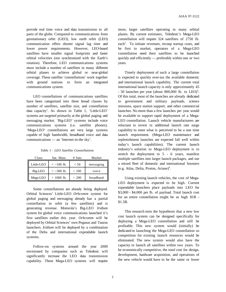provide real time voice and data transmission to all parts of the globe. Compared to communications from geostationary orbit (GEO), low earth orbit (LEO) communication offers shorter signal lag time and lower power requirements. However, LEO-based satellites have smaller signal footprints and faster orbital velocities (not synchronized with the Earth's rotation). Therefore, LEO communications systems must include a number of satellites in many different orbital planes to achieve global or near-global coverage. These satellite 'constellations' work together with ground stations to form an integrated communications system.

LEO constellations of communications satellites have been categorized into three broad classes by number of satellites, satellite size, and constellation data capacity<sup>1</sup>. As shown in Table 1, 'Little-LEO' systems are targeted primarily at the global paging and messaging market. 'Big-LEO' systems include voice communications systems (i.e. satellite phones). 'Mega-LEO' constellations are very large systems capable of high bandwidth, broadband voice and data communications — an 'Internet-in-the sky'.

| Table 1 - LEO Satellite Constellations |  |
|----------------------------------------|--|
|----------------------------------------|--|

| Class      | Sat. Mass                              | $#$ Sats  | Market    |  |
|------------|----------------------------------------|-----------|-----------|--|
| Little-LEO | $\langle \sim 100 \text{ lb.} \rangle$ | < 50      | messaging |  |
| Big-LEO    | $\langle \sim 300 \text{ lb.} \rangle$ | ${}< 100$ | voice     |  |
| Mega-LEO   | $> 1000$ lb.                           | > 200     | broadband |  |

Some constellations are already being deployed. Orbital Sciences' Little-LEO *Orbcomm* system for global paging and messaging already has a partial constellation in orbit (a few satellites) and is generating revenue. Motorola's Big-LEO *Iridium* system for global voice communications launched it's first satellites earlier this year. *Orbcomm* will be deployed by Orbital Sciences' own Pegasus and Taurus launchers. *Iridium* will be deployed by a combination of the Delta and international expendable launch systems.

Follow-on systems around the year 2000 envisioned by companies such as Teledesic will significantly increase the LEO data transmission capability. These Mega-LEO systems will require more, larger satellites operating in many orbital planes. By current estimates, Teledesic's Mega-LEO constellation will require 324 satellites of 2750 lb. each<sup>2</sup>. To initiate revenues, recoup startup costs, and be first to market, operators of a Mega-LEO constellation need their satellites to be launched quickly and efficiently — preferably within one or two years.

Timely deployment of such a large constellation is expected to quickly over-tax the available domestic and international launch capability. The current total international launch capacity is only approximately 45  $-50$  launches per year (about 800,000 lb. to LEO)<sup>3</sup>. Of this total, most of the launches are already dedicated to government and military payloads, science missions, space station support, and other commercial launches. No more than a few launches per year would be available to support rapid deployment of a Mega-LEO constellation. Launch vehicle manufacturers are reluctant to invest in additional launch rate surge capability to meet what is perceived to be a one time launch requirement. (Mega-LEO maintenance and replenishment launches are expected fall well within today's launch capabilities). The current launch industry's solution to Mega-LEO deployment is to stretch the deployment to 5 - 6 years, manifest multiple satellites into larger launch packages, and use a mixed fleet of domestic and international boosters (e.g. Atlas, Delta, Proton, Ariane)<sup>4</sup>.

Using existing launch vehicles, the cost of Mega-LEO deployment is expected to be high. Current expendable launchers place payloads into LEO for \$3,000 - \$4,000 per lb. of payload. Total launch cost for an entire constellation might be as high \$1B - \$1.5B.

This research tests the hypothesis that a new low cost launch system can be designed specifically for deploying a Mega-LEO constellation and still be profitable. This new system would (initially) be dedicated to launching the Mega-LEO constellation so competition for existing launch resources would be eliminated. The new system would also have the capacity to launch all satellites within two years. To be economically competitive, the *total* cost for design, development, hardware acquisition, and operations of the new vehicle would have to be the same or lower

 $\mathcal{L}$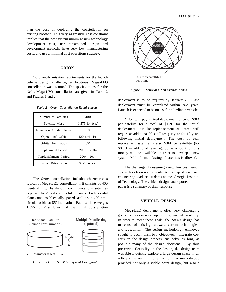than the cost of deploying the constellation on existing boosters. This very aggressive cost constraint implies that the new system minimize new technology development cost, use streamlined design and development methods, have very low manufacturing costs, and use a minimal cost operations strategy.

## **ORION**

To quantify mission requirements for the launch vehicle design challenge, a fictitious Mega-LEO constellation was assumed. The specifications for the *Orion* Mega-LEO constellation are given in Table 2 and Figures 1 and 2.

| Number of Satellites     | 400             |
|--------------------------|-----------------|
| Satellite Mass           | 1,575 lb. (ea.) |
| Number of Orbital Planes | 20              |
| Operational Orbit        | 420 nmi circ.   |
| Orbital Inclination      | $85^\circ$      |
| Deployment Period        | $2002 - 2004$   |
| Replenishment Period     | 2004 - 2014     |
| Launch Price Target      | \$3M per sat.   |

*Table 2 - Orion Constellation Requirements*

The *Orion* constellation includes characteristics typical of Mega-LEO constellations. It consists of 400 identical, high bandwidth, communications satellites deployed to 20 different orbital planes. Each orbital plane contains 20 equally spaced satellites in 420 nmi. circular orbits at 85° inclination. Each satellite weighs 1,575 lb. First launch of the initial constellation



 $\leftarrow$  diameter = 6 ft  $\rightarrow$ 

*Figure 1 - Orion Satellite Physical Configuration*



*Figure 2 - Notional Orion Orbital Planes*

deployment is to be required by January 2002 and deployment must be completed within two years. Launch is expected to be on a safe and reliable vehicle.

*Orion* will pay a fixed deployment price of \$3M per satellite for a total of \$1.2B for the initial deployment. Periodic replenishment of spares will require an additional 20 satellites per year for 10 years following initial deployment. The cost of each replacement satellite is also \$3M per satellite (for \$0.6B in additional revenue). Some amount of this money will be available up front to develop a new system. Multiple manifesting of satellites is allowed.

The challenge of designing a new, low cost launch system for *Orion* was presented to a group of aerospace engineering graduate students at the Georgia Institute of Technology. The vehicle design data reported in this paper is a summary of their response.

#### **VEHICLE DESIGN**

Mega-LEO deployments offer very challenging goals for performance, operability, and affordability. In order to meet these goals, the *Sirius* design has made use of existing hardware, current technologies, and reusability. The design methodology employed sought to accomplish two objectives: integrate cost early in the design process, and delay as long as possible many of the design decisions. By thus preserving flexibility in the design, the design team was able to quickly explore a large design space in an efficient manner. In this fashion the methodology provided, not only a viable point design, but also a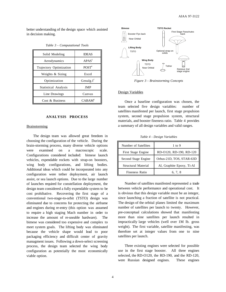better understanding of the design space which assisted in decision making.

| Solid Modeling              | <b>IDEAS</b>      |
|-----------------------------|-------------------|
| Aerodynamics                | $APAS^5$          |
| Trajectory Optimization     | POST <sup>6</sup> |
| Weights & Sizing            | Excel             |
| Optimization                | Genalg. $f'$      |
| <b>Statistical Analysis</b> | <b>JMP</b>        |
| Line Drawings               | Canvas            |
| Cost & Business             | $CABAM^8$         |

*Table 3 - Computational Tools*

#### **ANALYSIS PROCESS**

#### Brainstorming

The design team was allowed great freedom in choosing the configuration of the vehicle. During the brain-storming process, many diverse vehicle options were examined on a macroscopic scale. Configurations considered included: bimese launch vehicles, expendable rockets with strap-on boosters, wing body configurations, and lifting bodies. Additional ideas which could be incorporated into any configuration were tether deployment, air launch assist, or sea launch options. Due to the large number of launches required for constellation deployment, the design team considered a fully expendable system to be cost prohibative. Recovering the first stage of a conventional two-stage-to-orbit (TSTO) design was eliminated due to concerns for protecting the airframe and engines during re-entry (this option was assumed to require a high staging Mach number in order to increase the amount of re-useable hardware). The bimese was considered too expensive and complex to meet system goals. The lifting body was eliminated because the vehicle shape would lead to poor packaging efficiency and difficult center of gravity managment issues. Following a down-select screening process, the design team selected the wing body configuration as potentially the most economically viable option.



*Figure 3 - Brainstorming Concepts*

#### Design Variables

Once a baseline configuration was chosen, the team selected five design variables: number of satellites manifested per launch, first stage propulsion system, second stage propulsion system, structural materials, and booster fineness ratio. Table 4 provides a summary of all design variables and valid ranges.

*Table 4 - Design Variables*

| Number of Satellites | 1 to 9                    |  |  |  |
|----------------------|---------------------------|--|--|--|
| First Stage Engine   | RD-0120, RD-190, RD-120   |  |  |  |
| Second Stage Engine  | Orbus-21D, TOS, STAR-63D  |  |  |  |
| Structural Material  | Al, Graphite Epoxy, Ti-Al |  |  |  |
| Fineness Ratio       | 6, 7, 8                   |  |  |  |

Number of satellites manifested represented a trade between vehicle performance and operational cost. It is obvious that this design variable must be an integer, since launching a fraction of satellite is not practical. The design of the orbital planes limited the maximum number of satellites per launch to twenty. However, pre-conceptual calculations showed that manifesting more than nine satellites per launch resulted in impractically large vehicles (well over 1M lb. gross weight). The first variable, satellite manifesting, was therefore set at integer values from one to nine satellites per launch.

Three existing engines were selected for possible use in the first stage booster. All three engines selected, the RD-O120, the RD-190, and the RD-120, were Russian designed engines. These engines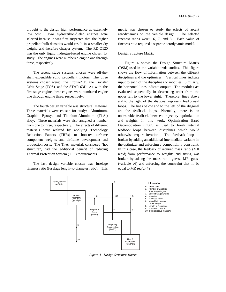brought to the design high performance at extremely low cost. Two hydrocarbon-fueled engines were selected because it was first suspected that the higher propellant bulk densities would result in a smaller dry weight, and therefore cheaper system. The RD-O120 was the only liquid hydrogen-fueled engine chosen for study. The engines were numbered engine one through three, respectively.

The second stage systems chosen were off-theshelf expendable solid propellant motors. The three systems chosen were: the Orbus-21D, the Transfer Orbit Stage (TOS), and the STAR-63D. As with the first stage engine, these engines were numbered engine one through engine three, respectively.

The fourth design variable was structural material. Three materials were chosen for study: Aluminum, Graphite Epoxy, and Titanium-Aluminum (Ti-Al) alloy. These materials were also assigned a number from one to three, respectively. The effects of different materials were realized by applying Technology Reduction Factors (TRFs) to booster airframe component weights and airframe development and production costs. The Ti-Al material, considered "hot structure", had the additional benefit of reducing Thermal Protection System (TPS) requirements.

The last design variable chosen was fuselage fineness ratio (fuselage length-to-diameter ratio). This metric was chosen to study the effects of ascent aerodynamics on the vehicle design. The selected fineness ratios were: 6, 7, and 8. Each value of fineness ratio required a separate aerodynamic model.

#### Design Structure Matrix

Figure 4 shows the Design Structure Matrix (DSM) used in the variable trade studies. This figure shows the flow of information between the different disciplines and the optimizer. Vertical lines indicate input to each of the disciplines or modules. Similarly, the horizontal lines indicate outputs. The modules are evaluated sequentially in descending order from the upper left to the lower right. Therefore, lines above and to the right of the diagonal represent feedforward loops. The lines below and to the left of the diagonal are the feedback loops. Normally, there is an undesirable feedback between trajectory optimization and weights. In this work, Optimization Based Decomposition (OBD) is used to break internal feedback loops between disciplines which would otherwise require iteration. The feedback loop is broken by adding an additional intermediate variable in the optimizer and enforcing a compatibility constraint. In this case, the feedback of required mass ratio (MR req'd) from performance to weights and sizing was broken by adding the mass ratio guess, MR guess (variable #6) and enforcing the constraint that it be equal to MR req'd (#9).



*Figure 4 - Design Structure Matrix*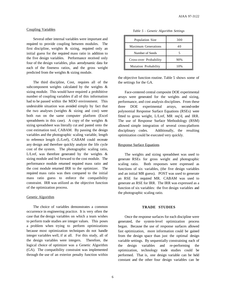## Coupling Variables

Several other internal variables were important and required to provide coupling between modules. The first discipline, weights & sizing, required only an initial guess for the required mass ratio in addition to the five design variables. Performance received only four of the design variables, plus aerodynamic data for each of the fineness ratios, and the gross weight predicted from the weights & sizing module.

The third discipline, Cost, requires all of the subcomponent weights calculated by the weights & sizing module. This would have required a prohibitive number of coupling variables if all of this information had to be passed within the MDO environment. This undesirable situation was avoided simply by fact that the two analyses (weights & sizing and cost) were both run on the same computer platform (Excel spreadsheets in this case). A copy of the weights  $\&$ sizing spreadsheet was literally cut and pasted onto the cost estimation tool, CABAM. By passing the design variables and the photographic scaling variable, length to reference length (L/Lref), CABAM could recreate any design and therefore quickly analyze the life cycle cost of the system. The photographic scaling ratio, L/Lref, was therefore generated by the weights & sizing module and fed forward to the cost module. The performance module returned required mass ratio and the cost module returned IRR to the optimizer. The required mass ratio was then compared to the initial mass ratio guess to enforce the compatibility constraint. IRR was utilized as the objective function of the optimization process.

#### Genetic Algorithm

The choice of variables demonstrates a common occurrence in engineering practice. It is very often the case that the design variables on which a team wishes to perform trade studies are integer values. This poses a problem when trying to perform optimizations because most optimization techniques do not handle integer variables well, if at all. For this study, all of the design variables were integers. Therefore, the logical choice of optimizer was a Genetic Algorithm (GA). The compatibility constraint was implemented through the use of an exterior penalty function within

| Population Size            | 300 |
|----------------------------|-----|
| <b>Maximum Generations</b> | 40  |
| Number of Seeds            |     |
| Cross-over Probability     | 90% |
| Mutation Probability       | 10% |

*Table 5 - Genetic Algorithm Settings*

the objective function routine. Table 5 shows some of the settings for the GA.

Face-centered central composite DOE experimental arrays were generated for the weights and sizing, performance, and cost analysis disciplines. From these three DOE experimental arrays, second-order polynomial Response Surface Equations (RSEs) were fitted to gross weight, L/Lref, MR req'd, and IRR. The use of Response Surface Methodology (RSM) allowed simple integration of several cross-platform disciplinary codes. Additionally, the resulting optimization could be executed very quickly.

#### Response Surface Equations

The weights and sizing spreadsheet was used to generate RSEs for gross weight and photographic scaling ratio. Both responses were expressed as functions of six variables, (the five design variables and an initial MR guess). POST was used to generate an RSE for required MR. CABAM was used to generate an RSE for IRR. The IRR was expressed as a function of six variables: the five design variables and the photographic scaling ratio.

## **TRADE STUDIES**

Once the response surfaces for each discipline were generated, the system-level optimization process began. Because the use of response surfaces allowed fast optimization, more information could be gained from the design space than just the optimal design variable settings. By sequentially constraining each of the design variables and re-performing the optimization, technology trade studies could be performed. That is, one design variable can be held constant and the other four design variables can be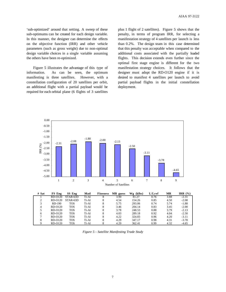'sub-optimized' around that setting. A sweep of these sub-optimums can be created for each design variable. In this manner, the designer can determine the effects on the objective function (IRR) and other vehicle parameters (such as gross weight) due to non-optimal design variable choices in a single variable assuming the others have been re-optimized.

Figure 5 illustrates the advantage of this type of information. As can be seen, the optimum manifesting is three satellites. However, with a constellation configuration of 20 satellites per orbit, an additional flight with a partial payload would be required for each orbital plane (6 flights of 3 satellites

plus 1 flight of 2 satellites). Figure 5 shows that the penalty, in terms of program IRR, for selecting a manifestation strategy of 4 satellites per launch is less than 0.2%. The design team in this case determined that this penalty was acceptable when compared to the additional costs associated with the partially loaded flights. This decision extends even further since the optimal first stage engine is different for the two manifestation strategy choices. It follows that the designer must adopt the RD-O120 engine if it is desired to manifest 4 satellites per launch to avoid partial payload flights in the initial constellation deployment.



| $#$ Sat | FS Eng  | SS Eng     | Matl  | Fineness | MR guess | $Wg$ (klbs) | L/Lref | MR   | IRR $(%$ |
|---------|---------|------------|-------|----------|----------|-------------|--------|------|----------|
|         | RD-0120 | STAR-63D   | Ti-Al |          | 3.90     | 81.27       | 0.76   | 3.88 | $-2.31$  |
|         | RD-0120 | STAR-63D   | Ti-Al | 8        | 4.54     | 154.26      | 0.85   | 4.50 | $-2.08$  |
|         | RD-190  | <b>TOS</b> | Ti-Al | 8        | 5.75     | 293.06      | 0.74   | 5.74 | $-1.88$  |
| 4       | RD-0120 | <b>TOS</b> | Ti-Al | 8        | 3.46     | 204.14      | 0.83   | 3.45 | $-2.00$  |
|         | RD-0120 | <b>TOS</b> | Ti-Al | 8        | 3.78     | 248.53      | 0.88   | 3.79 | $-2.13$  |
| 6       | RD-0120 | <b>TOS</b> | Ti-Al | 8        | 4.03     | 289.18      | 0.92   | 4.04 | $-2.50$  |
|         | RD-0120 | <b>TOS</b> | Ti-Al | 8        | 4.22     | 324.83      | 0.96   | 4.20 | $-3.11$  |
| 8       | RD-0120 | <b>TOS</b> | Ti-Al | 8        | 4.29     | 347.17      | 0.98   | 4.31 | $-3.78$  |
|         | RD-0120 | <b>TOS</b> | Ti-Al | 8        | 4.29     | 362.41      | 0.99   | 4.32 | $-4.65$  |

*Figure 5 - Satellite Manifesting Trade Study*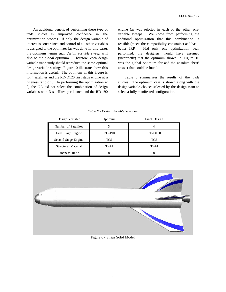An additional benefit of performing these type of trade studies is improved confidence in the optimization process. If only the design variable of interest is constrained and control of all other variables is assigned to the optimizer (as was done in this case), the optimum *within each design variable sweep* will also be the *global* optimum. Therefore, each design variable trade study should reproduce the same optimal design variable settings. Figure 10 illustrates how this information is useful. The optimum in this figure is for 4 satellites and the RD-O120 first stage engine at a fineness ratio of 8. In performing the optimization at 8, the GA did not select the combination of design variables with 3 satellites per launch and the RD-190

engine (as was selected in each of the other onevariable sweeps). We know from performing the additional optimization that this combination is feasible (meets the compatibility constraint) and has a better IRR. Had only one optimization been performed, the designers would have assumed (incorrectly) that the optimum shown in Figure 10 was the global optimum for and the absolute 'best' answer that could be found.

Table 6 summarizes the results of the trade studies. The optimum case is shown along with the design variable choices selected by the design team to select a fully manifested configuration.

| Design Variable      | Optimum | Final Design |  |  |
|----------------------|---------|--------------|--|--|
| Number of Satellites | 3       |              |  |  |
| First Stage Engine   | RD-190  | RD-0120      |  |  |
| Second Stage Engine  | TOS     | <b>TOS</b>   |  |  |
| Structural Material  | Ti-Al   | Ti-Al        |  |  |
| Fineness Ratio       |         |              |  |  |

*Table 6 - Design Variable Selection*



Figure 6 - Sirius Solid Model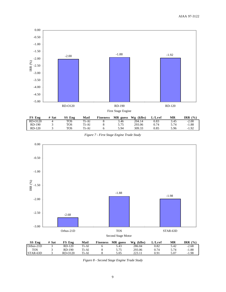

| RD-120 | TOS | Ti-Al | 5.94                                      | 309.33 | 0.85 | 5.96 | $-1.92$ |
|--------|-----|-------|-------------------------------------------|--------|------|------|---------|
|        |     |       | Figure 7 - First Stage Engine Trade Study |        |      |      |         |



*Figure 8 - Second Stage Engine Trade Study*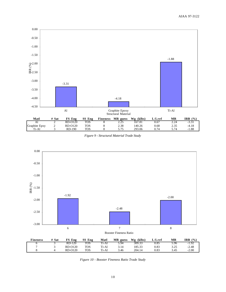

*Figure 9 - Structural Material Trade Study*



*Figure 10 - Booster Fineness Ratio Trade Study*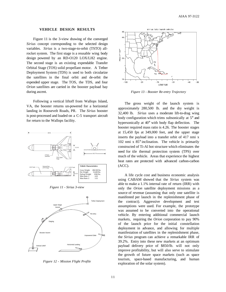#### **VEHICLE DESIGN RESULTS**

Figure 11 is the 3-view drawing of the converged *Sirius* concept corresponding to the selected design variables. *Sirius* is a two-stage-to-orbit (TSTO) allrocket system. The first stage is a reusable wing body design powered by an RD-O120 LOX/LH2 engine. The second stage is an existing expendable Transfer Orbital Stage (TOS) solid propellant motor. A Tether Deployment System (TDS) is used to both circularize the satellites in the final orbit and de-orbit the expended upper stage. The TOS, the TDS, and four *Orion* satellites are carried in the booster payload bay during ascent.

Following a vertical liftoff from Wallops Island, VA, the booster returns un-powered for a horizontal landing in Roosevelt Roads, PR. The *Sirius* booster is post-processed and loaded on a C-5 transport aircraft for return to the Wallops facility.



*Figure 11 - Sirius 3-view*



*Figure 12 - Mission Flight Profile*



*Figure 13 - Booster Re-entry Trajectory*

The gross weight of the launch system is approximately 280,500 lb. and the dry weight is 32,400 lb. *Sirius* uses a moderate lift-to-drag wing body configuration which trims subsonically at 5° and hypersonically at 40° with body flap deflection. The booster required mass ratio is 4.26. The booster stages at 15,450 fps at 349,000 feet, and the upper stage inserts the payload into a transfer orbit of 417 nmi x 102 nmi x 85° inclination. The vehicle is primarily constructed of Ti-Al hot structure which eliminates the need for tile thermal protection system (TPS) over much of the vehicle. Areas that experience the highest heat rates are protected with advanced carbon-carbon (ACC).

A life cycle cost and business economic analysis using CABAM showed that the *Sirius* system was able to make a 1.1% internal rate of return (IRR) with only the *Orion* satellite deployment missions as a source of revenue (assuming that only one satellite is manifested per launch in the replenishment phase of the contract). Aggressive development and test assumptions were used. For example, the prototype was assumed to be converted into the operational vehicle. By entering additional commercial launch markets, requiring the *Orion* corporation to pay 90% of the launch price for the initial constellation deployment in advance, and allowing for multiple manifestation of satellites in the replenishment phase, the *Sirius* program can achieve a remarkable IRR of 39.2%. Entry into these new markets at an optimum payload delivery price of \$850/lb. will not only improve profitability, but will also serve to stimulate the growth of future space markets (such as space tourism, space-based manufacturing, and human exploration of the solar system).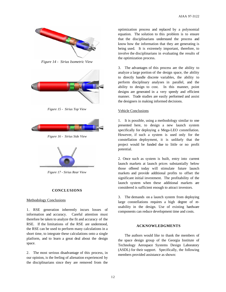

*Figure 14 - Sirius Isometric View*



*Figure 15 - Sirius Top View*



*Figure 16 - Sirius Side View*



*Figure 17 - Sirius Rear View*

#### **CONCLUSIONS**

#### Methodology Conclusions

1. RSE generation inherently incurs losses of information and accuracy. Careful attention must therefore be taken to analyze the fit and accuracy of the RSE. If the limitations of the RSE are understood, the RSE can be used to perform many calculations in a short time, to integrate these calculations onto a single platform, and to learn a great deal about the design space.

2. The most serious disadvantage of this process, in our opinion, is the feeling of alienation experienced by the disciplinarians since they are removed from the

optimization process and replaced by a polynomial equation. The solution to this problem is to ensure that the disciplinarians understand the process and know how the information that they are generating is being used. It is extremely important, therefore, to involve the disciplinarians in evaluating the results of the optimization process.

3. The advantages of this process are the ability to analyze a large portion of the design space, the ability to directly handle discrete variables, the ability to perform disciplinary analyses in parallel, and the ability to design to cost. In this manner, point designs are generated in a very speedy and efficient manner. Trade studies are easily performed and assist the designers in making informed decisions.

#### Vehicle Conclusions

1. It is possible, using a methodology similar to one presented here, to design a new launch system specifically for deploying a Mega-LEO constellation. However, if such a system is used only for the constellation deployment, it is unlikely that the project would be funded due to little or no profit potential.

2. Once such as system is built, entry into current launch markets at launch prices substantially below those offered today will stimulate future launch markets and provide additional profits to offset the significant initial investment. The profitability of the launch system when these additional markets are considered is sufficient enough to attract investors.

3. The demands on a launch system from deploying large constellations requires a high degree of reusability in the design. Use of existing hardware components can reduce development time and costs.

# **ACKNOWLEDGMENTS**

The authors would like to thank the members of the space design group of the Georgia Institute of Technology Aerospace Systems Design Laboratory (ASDL) for their support. Specifically, the following members provided assistance as shown: